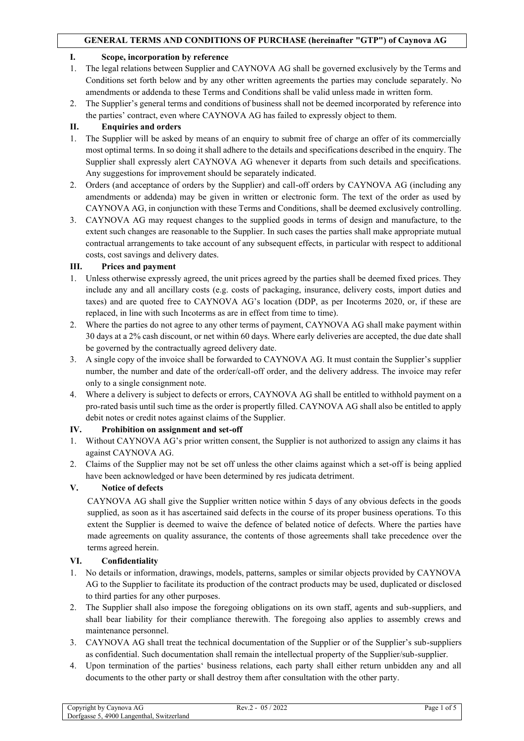#### **I. Scope, incorporation by reference**

- 1. The legal relations between Supplier and CAYNOVA AG shall be governed exclusively by the Terms and Conditions set forth below and by any other written agreements the parties may conclude separately. No amendments or addenda to these Terms and Conditions shall be valid unless made in written form.
- 2. The Supplier's general terms and conditions of business shall not be deemed incorporated by reference into the parties' contract, even where CAYNOVA AG has failed to expressly object to them.

# **II. Enquiries and orders**

- 1. The Supplier will be asked by means of an enquiry to submit free of charge an offer of its commercially most optimal terms. In so doing it shall adhere to the details and specifications described in the enquiry. The Supplier shall expressly alert CAYNOVA AG whenever it departs from such details and specifications. Any suggestions for improvement should be separately indicated.
- 2. Orders (and acceptance of orders by the Supplier) and call-off orders by CAYNOVA AG (including any amendments or addenda) may be given in written or electronic form. The text of the order as used by CAYNOVA AG, in conjunction with these Terms and Conditions, shall be deemed exclusively controlling.
- 3. CAYNOVA AG may request changes to the supplied goods in terms of design and manufacture, to the extent such changes are reasonable to the Supplier. In such cases the parties shall make appropriate mutual contractual arrangements to take account of any subsequent effects, in particular with respect to additional costs, cost savings and delivery dates.

## **III. Prices and payment**

- 1. Unless otherwise expressly agreed, the unit prices agreed by the parties shall be deemed fixed prices. They include any and all ancillary costs (e.g. costs of packaging, insurance, delivery costs, import duties and taxes) and are quoted free to CAYNOVA AG's location (DDP, as per Incoterms 2020, or, if these are replaced, in line with such Incoterms as are in effect from time to time).
- 2. Where the parties do not agree to any other terms of payment, CAYNOVA AG shall make payment within 30 days at a 2% cash discount, or net within 60 days. Where early deliveries are accepted, the due date shall be governed by the contractually agreed delivery date.
- 3. A single copy of the invoice shall be forwarded to CAYNOVA AG. It must contain the Supplier's supplier number, the number and date of the order/call-off order, and the delivery address. The invoice may refer only to a single consignment note.
- 4. Where a delivery is subject to defects or errors, CAYNOVA AG shall be entitled to withhold payment on a pro-rated basis until such time as the order is propertly filled. CAYNOVA AG shall also be entitled to apply debit notes or credit notes against claims of the Supplier.

# **IV. Prohibition on assignment and set-off**

- 1. Without CAYNOVA AG's prior written consent, the Supplier is not authorized to assign any claims it has against CAYNOVA AG.
- 2. Claims of the Supplier may not be set off unless the other claims against which a set-off is being applied have been acknowledged or have been determined by res judicata detriment.

# **V. Notice of defects**

CAYNOVA AG shall give the Supplier written notice within 5 days of any obvious defects in the goods supplied, as soon as it has ascertained said defects in the course of its proper business operations. To this extent the Supplier is deemed to waive the defence of belated notice of defects. Where the parties have made agreements on quality assurance, the contents of those agreements shall take precedence over the terms agreed herein.

#### **VI. Confidentiality**

- 1. No details or information, drawings, models, patterns, samples or similar objects provided by CAYNOVA AG to the Supplier to facilitate its production of the contract products may be used, duplicated or disclosed to third parties for any other purposes.
- 2. The Supplier shall also impose the foregoing obligations on its own staff, agents and sub-suppliers, and shall bear liability for their compliance therewith. The foregoing also applies to assembly crews and maintenance personnel.
- 3. CAYNOVA AG shall treat the technical documentation of the Supplier or of the Supplier's sub-suppliers as confidential. Such documentation shall remain the intellectual property of the Supplier/sub-supplier.
- 4. Upon termination of the parties' business relations, each party shall either return unbidden any and all documents to the other party or shall destroy them after consultation with the other party.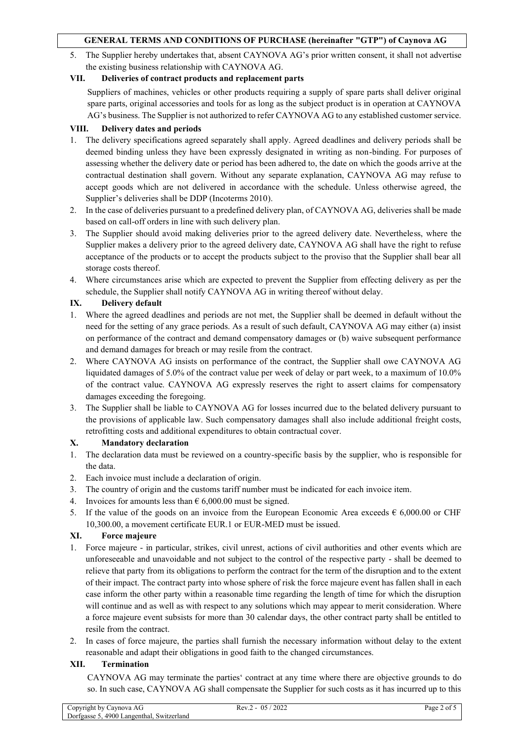5. The Supplier hereby undertakes that, absent CAYNOVA AG's prior written consent, it shall not advertise the existing business relationship with CAYNOVA AG.

### **VII. Deliveries of contract products and replacement parts**

Suppliers of machines, vehicles or other products requiring a supply of spare parts shall deliver original spare parts, original accessories and tools for as long as the subject product is in operation at CAYNOVA AG's business. The Supplier is not authorized to refer CAYNOVA AG to any established customer service.

### **VIII. Delivery dates and periods**

- 1. The delivery specifications agreed separately shall apply. Agreed deadlines and delivery periods shall be deemed binding unless they have been expressly designated in writing as non-binding. For purposes of assessing whether the delivery date or period has been adhered to, the date on which the goods arrive at the contractual destination shall govern. Without any separate explanation, CAYNOVA AG may refuse to accept goods which are not delivered in accordance with the schedule. Unless otherwise agreed, the Supplier's deliveries shall be DDP (Incoterms 2010).
- 2. In the case of deliveries pursuant to a predefined delivery plan, of CAYNOVA AG, deliveries shall be made based on call-off orders in line with such delivery plan.
- 3. The Supplier should avoid making deliveries prior to the agreed delivery date. Nevertheless, where the Supplier makes a delivery prior to the agreed delivery date, CAYNOVA AG shall have the right to refuse acceptance of the products or to accept the products subject to the proviso that the Supplier shall bear all storage costs thereof.
- 4. Where circumstances arise which are expected to prevent the Supplier from effecting delivery as per the schedule, the Supplier shall notify CAYNOVA AG in writing thereof without delay.

## **IX. Delivery default**

- 1. Where the agreed deadlines and periods are not met, the Supplier shall be deemed in default without the need for the setting of any grace periods. As a result of such default, CAYNOVA AG may either (a) insist on performance of the contract and demand compensatory damages or (b) waive subsequent performance and demand damages for breach or may resile from the contract.
- 2. Where CAYNOVA AG insists on performance of the contract, the Supplier shall owe CAYNOVA AG liquidated damages of 5.0% of the contract value per week of delay or part week, to a maximum of 10.0% of the contract value. CAYNOVA AG expressly reserves the right to assert claims for compensatory damages exceeding the foregoing.
- 3. The Supplier shall be liable to CAYNOVA AG for losses incurred due to the belated delivery pursuant to the provisions of applicable law. Such compensatory damages shall also include additional freight costs, retrofitting costs and additional expenditures to obtain contractual cover.

#### **X. Mandatory declaration**

- 1. The declaration data must be reviewed on a country-specific basis by the supplier, who is responsible for the data.
- 2. Each invoice must include a declaration of origin.
- 3. The country of origin and the customs tariff number must be indicated for each invoice item.
- 4. Invoices for amounts less than  $\epsilon$  6,000.00 must be signed.
- 5. If the value of the goods on an invoice from the European Economic Area exceeds  $\epsilon$  6,000.00 or CHF 10,300.00, a movement certificate EUR.1 or EUR-MED must be issued.

#### **XI. Force majeure**

- 1. Force majeure in particular, strikes, civil unrest, actions of civil authorities and other events which are unforeseeable and unavoidable and not subject to the control of the respective party - shall be deemed to relieve that party from its obligations to perform the contract for the term of the disruption and to the extent of their impact. The contract party into whose sphere of risk the force majeure event has fallen shall in each case inform the other party within a reasonable time regarding the length of time for which the disruption will continue and as well as with respect to any solutions which may appear to merit consideration. Where a force majeure event subsists for more than 30 calendar days, the other contract party shall be entitled to resile from the contract.
- 2. In cases of force majeure, the parties shall furnish the necessary information without delay to the extent reasonable and adapt their obligations in good faith to the changed circumstances.

#### **XII. Termination**

CAYNOVA AG may terminate the parties' contract at any time where there are objective grounds to do so. In such case, CAYNOVA AG shall compensate the Supplier for such costs as it has incurred up to this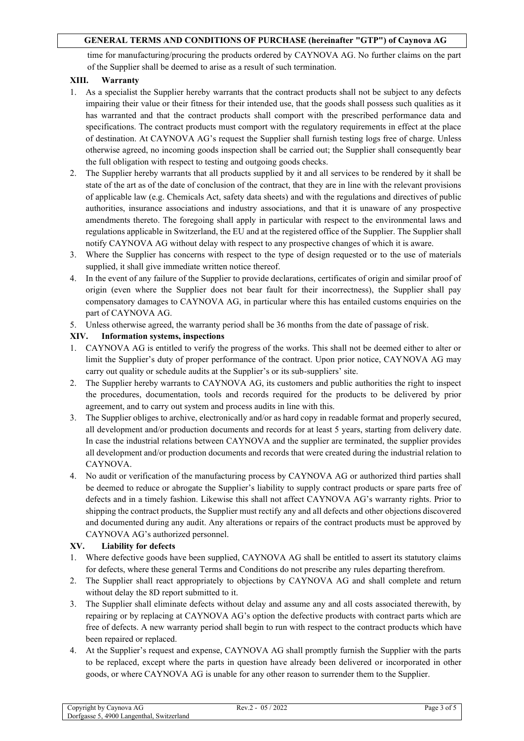time for manufacturing/procuring the products ordered by CAYNOVA AG. No further claims on the part of the Supplier shall be deemed to arise as a result of such termination.

### **XIII. Warranty**

- 1. As a specialist the Supplier hereby warrants that the contract products shall not be subject to any defects impairing their value or their fitness for their intended use, that the goods shall possess such qualities as it has warranted and that the contract products shall comport with the prescribed performance data and specifications. The contract products must comport with the regulatory requirements in effect at the place of destination. At CAYNOVA AG's request the Supplier shall furnish testing logs free of charge. Unless otherwise agreed, no incoming goods inspection shall be carried out; the Supplier shall consequently bear the full obligation with respect to testing and outgoing goods checks.
- 2. The Supplier hereby warrants that all products supplied by it and all services to be rendered by it shall be state of the art as of the date of conclusion of the contract, that they are in line with the relevant provisions of applicable law (e.g. Chemicals Act, safety data sheets) and with the regulations and directives of public authorities, insurance associations and industry associations, and that it is unaware of any prospective amendments thereto. The foregoing shall apply in particular with respect to the environmental laws and regulations applicable in Switzerland, the EU and at the registered office of the Supplier. The Supplier shall notify CAYNOVA AG without delay with respect to any prospective changes of which it is aware.
- 3. Where the Supplier has concerns with respect to the type of design requested or to the use of materials supplied, it shall give immediate written notice thereof.
- 4. In the event of any failure of the Supplier to provide declarations, certificates of origin and similar proof of origin (even where the Supplier does not bear fault for their incorrectness), the Supplier shall pay compensatory damages to CAYNOVA AG, in particular where this has entailed customs enquiries on the part of CAYNOVA AG.
- 5. Unless otherwise agreed, the warranty period shall be 36 months from the date of passage of risk.

# **XIV. Information systems, inspections**

- 1. CAYNOVA AG is entitled to verify the progress of the works. This shall not be deemed either to alter or limit the Supplier's duty of proper performance of the contract. Upon prior notice, CAYNOVA AG may carry out quality or schedule audits at the Supplier's or its sub-suppliers' site.
- 2. The Supplier hereby warrants to CAYNOVA AG, its customers and public authorities the right to inspect the procedures, documentation, tools and records required for the products to be delivered by prior agreement, and to carry out system and process audits in line with this.
- 3. The Supplier obliges to archive, electronically and/or as hard copy in readable format and properly secured, all development and/or production documents and records for at least 5 years, starting from delivery date. In case the industrial relations between CAYNOVA and the supplier are terminated, the supplier provides all development and/or production documents and records that were created during the industrial relation to CAYNOVA.
- 4. No audit or verification of the manufacturing process by CAYNOVA AG or authorized third parties shall be deemed to reduce or abrogate the Supplier's liability to supply contract products or spare parts free of defects and in a timely fashion. Likewise this shall not affect CAYNOVA AG's warranty rights. Prior to shipping the contract products, the Supplier must rectify any and all defects and other objections discovered and documented during any audit. Any alterations or repairs of the contract products must be approved by CAYNOVA AG's authorized personnel.

#### **XV. Liability for defects**

- 1. Where defective goods have been supplied, CAYNOVA AG shall be entitled to assert its statutory claims for defects, where these general Terms and Conditions do not prescribe any rules departing therefrom.
- 2. The Supplier shall react appropriately to objections by CAYNOVA AG and shall complete and return without delay the 8D report submitted to it.
- 3. The Supplier shall eliminate defects without delay and assume any and all costs associated therewith, by repairing or by replacing at CAYNOVA AG's option the defective products with contract parts which are free of defects. A new warranty period shall begin to run with respect to the contract products which have been repaired or replaced.
- 4. At the Supplier's request and expense, CAYNOVA AG shall promptly furnish the Supplier with the parts to be replaced, except where the parts in question have already been delivered or incorporated in other goods, or where CAYNOVA AG is unable for any other reason to surrender them to the Supplier.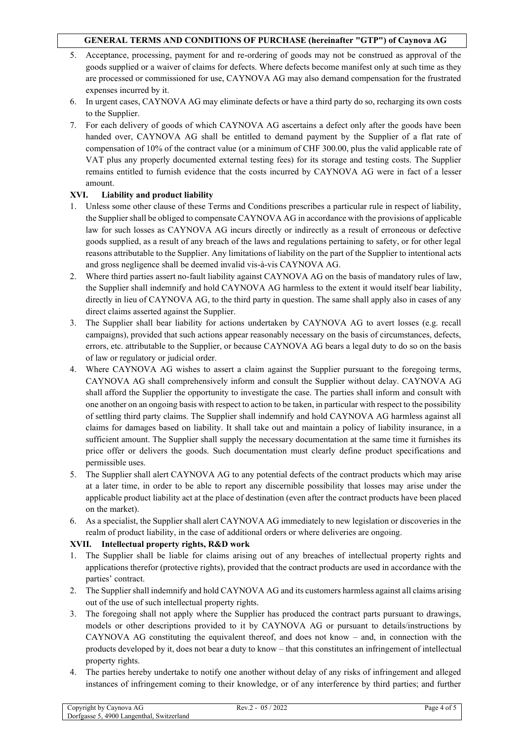- 5. Acceptance, processing, payment for and re-ordering of goods may not be construed as approval of the goods supplied or a waiver of claims for defects. Where defects become manifest only at such time as they are processed or commissioned for use, CAYNOVA AG may also demand compensation for the frustrated expenses incurred by it.
- 6. In urgent cases, CAYNOVA AG may eliminate defects or have a third party do so, recharging its own costs to the Supplier.
- 7. For each delivery of goods of which CAYNOVA AG ascertains a defect only after the goods have been handed over, CAYNOVA AG shall be entitled to demand payment by the Supplier of a flat rate of compensation of 10% of the contract value (or a minimum of CHF 300.00, plus the valid applicable rate of VAT plus any properly documented external testing fees) for its storage and testing costs. The Supplier remains entitled to furnish evidence that the costs incurred by CAYNOVA AG were in fact of a lesser amount.

## **XVI. Liability and product liability**

- 1. Unless some other clause of these Terms and Conditions prescribes a particular rule in respect of liability, the Supplier shall be obliged to compensate CAYNOVA AG in accordance with the provisions of applicable law for such losses as CAYNOVA AG incurs directly or indirectly as a result of erroneous or defective goods supplied, as a result of any breach of the laws and regulations pertaining to safety, or for other legal reasons attributable to the Supplier. Any limitations of liability on the part of the Supplier to intentional acts and gross negligence shall be deemed invalid vis-à-vis CAYNOVA AG.
- 2. Where third parties assert no-fault liability against CAYNOVA AG on the basis of mandatory rules of law, the Supplier shall indemnify and hold CAYNOVA AG harmless to the extent it would itself bear liability, directly in lieu of CAYNOVA AG, to the third party in question. The same shall apply also in cases of any direct claims asserted against the Supplier.
- 3. The Supplier shall bear liability for actions undertaken by CAYNOVA AG to avert losses (e.g. recall campaigns), provided that such actions appear reasonably necessary on the basis of circumstances, defects, errors, etc. attributable to the Supplier, or because CAYNOVA AG bears a legal duty to do so on the basis of law or regulatory or judicial order.
- 4. Where CAYNOVA AG wishes to assert a claim against the Supplier pursuant to the foregoing terms, CAYNOVA AG shall comprehensively inform and consult the Supplier without delay. CAYNOVA AG shall afford the Supplier the opportunity to investigate the case. The parties shall inform and consult with one another on an ongoing basis with respect to action to be taken, in particular with respect to the possibility of settling third party claims. The Supplier shall indemnify and hold CAYNOVA AG harmless against all claims for damages based on liability. It shall take out and maintain a policy of liability insurance, in a sufficient amount. The Supplier shall supply the necessary documentation at the same time it furnishes its price offer or delivers the goods. Such documentation must clearly define product specifications and permissible uses.
- 5. The Supplier shall alert CAYNOVA AG to any potential defects of the contract products which may arise at a later time, in order to be able to report any discernible possibility that losses may arise under the applicable product liability act at the place of destination (even after the contract products have been placed on the market).
- 6. As a specialist, the Supplier shall alert CAYNOVA AG immediately to new legislation or discoveries in the realm of product liability, in the case of additional orders or where deliveries are ongoing.

#### **XVII. Intellectual property rights, R&D work**

- 1. The Supplier shall be liable for claims arising out of any breaches of intellectual property rights and applications therefor (protective rights), provided that the contract products are used in accordance with the parties' contract.
- 2. The Supplier shall indemnify and hold CAYNOVA AG and its customers harmless against all claims arising out of the use of such intellectual property rights.
- 3. The foregoing shall not apply where the Supplier has produced the contract parts pursuant to drawings, models or other descriptions provided to it by CAYNOVA AG or pursuant to details/instructions by CAYNOVA AG constituting the equivalent thereof, and does not know – and, in connection with the products developed by it, does not bear a duty to know – that this constitutes an infringement of intellectual property rights.
- 4. The parties hereby undertake to notify one another without delay of any risks of infringement and alleged instances of infringement coming to their knowledge, or of any interference by third parties; and further